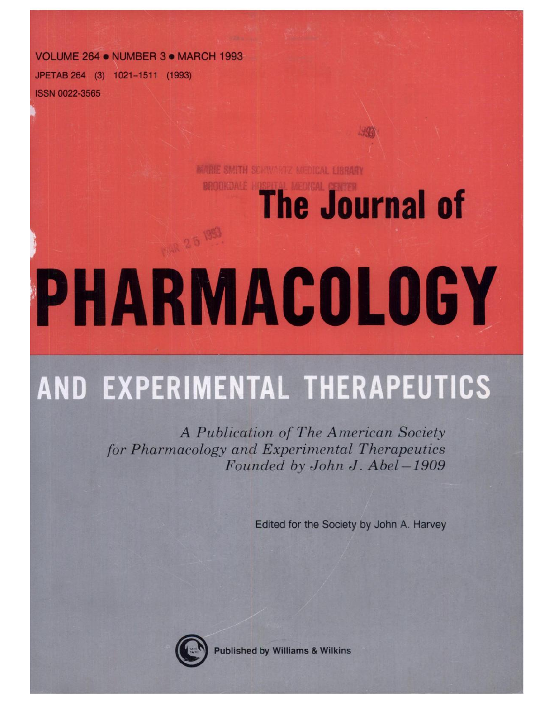**VOLUME 264. NUMBER 3. MARCH 1993**

**JPETAB 264 (3) 1021-1511 (1993) ISSN 0022-3565**

**MARIE SMITH SCHWARTZ MEDICAL LIBRARY** 

## **The Journal of**

# **HARMACULUGY**

### **AND EXPERIMENTAL THERAPEUTICS**

*A Publication of The American Society for Pharmacology and Experimental Therapeutics Founded by John J. Abel -1909*

Edited for the Society by John A. Harvey



**Published by Williams & Wilkins**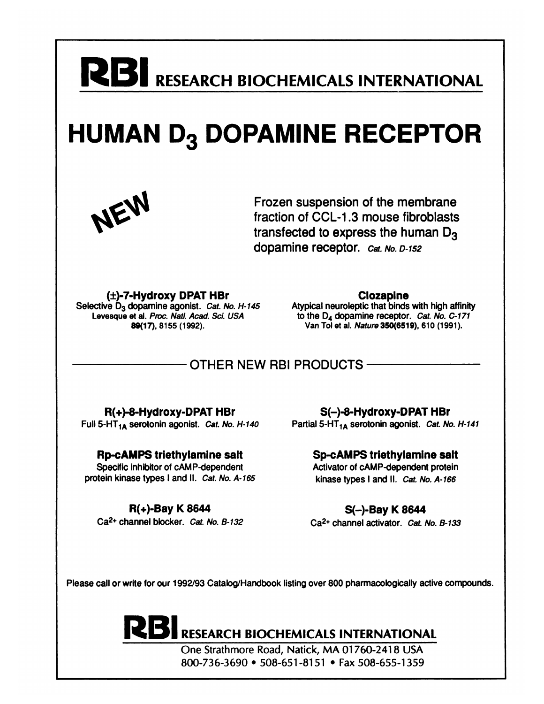# **R BI RESEARCH BIOCHEMICALS INTERNATIONAL**

#### **HUMAN D<sub>3</sub> DOPAMINE RECEPTOR**



Frozen suspension of the membrane fraction of CCL-1 .3 mouse fibroblasts transfected to express the human  $D_3$ dopamine receptor. Cat. No. D-152

**(±)-7-Hydroxy DPAT HBr** Selective  $D_3$  dopamine agonist. Cat. No. H-145 Levesque et al. Proc. Natl. Acad. Sci. USA 89(17), 8155 (1992).

**Clozapine**

Atypical neuroleptic that binds with high affinity to the D4 dopamine receptor. Cat. No. C-171 Van Tol at al. Nature 350(6519), 610 (1991).

#### OTHER NEW RBI PRODUCTS

**R(+)-8-Hydroxy-DPAT HBr** Full 5-HT $_{1A}$  serotonin agonist. Cat. No. H-140

Rp-cAMPS **triethylamine** salt Specific inhibitor of cAMP-dependent protein kinase types I and II. Cat. No. A-165

**R(+).Bay K** 8644 Ca<sup>2+</sup> channel blocker. Cat. No. B-132

**S(-)-8-Hydroxy-DPAT HBr** Partial 5-HT $_{1A}$  serotonin agonist. Cat. No. H-141

> **Sp-cAMPS trlethylamlne salt** Activator of cAMP-dependent protein kinase types I and II. Cat. No. A-166

**S(-)-Bay K 8644** Ca<sup>2+</sup> channel activator. Cat. No. B-133

Please call or write for our 1992/93 Catalog/Handbook listing over 800 pharmacologically active compounds.

#### **RESEARCH BIOCHEMICALS INTERNATIONAL**

One Strathmore Road, Natick, MA 01760-2418 USA 800-736-3690  $\cdot$  508-651-8151  $\cdot$  Fax 508-655-1359